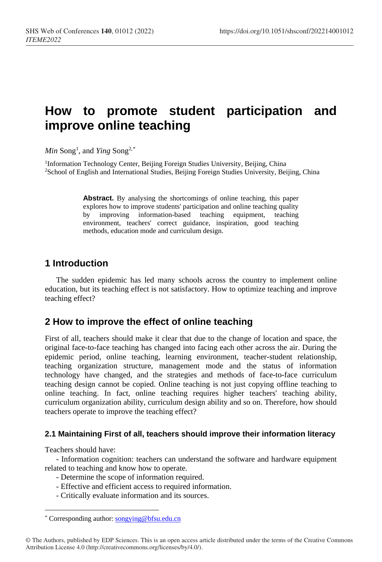# **How to promote student participation and improve online teaching**

 $Min$  Song<sup>1</sup>, and *Ying* Song<sup>2,[\\*](#page-0-0)</sup>

<sup>1</sup>Information Technology Center, Beijing Foreign Studies University, Beijing, China 2School of English and International Studies, Beijing Foreign Studies University, Beijing, China

> **Abstract.** By analysing the shortcomings of online teaching, this paper explores how to improve students' participation and online teaching quality<br>by improving information-based teaching equipment, teaching by improving information-based teaching equipment, environment, teachers' correct guidance, inspiration, good teaching methods, education mode and curriculum design.

## **1 Introduction**

The sudden epidemic has led many schools across the country to implement online education, but its teaching effect is not satisfactory. How to optimize teaching and improve teaching effect?

## **2 How to improve the effect of online teaching**

First of all, teachers should make it clear that due to the change of location and space, the original face-to-face teaching has changed into facing each other across the air. During the epidemic period, online teaching, learning environment, teacher-student relationship, teaching organization structure, management mode and the status of information technology have changed, and the strategies and methods of face-to-face curriculum teaching design cannot be copied. Online teaching is not just copying offline teaching to online teaching. In fact, online teaching requires higher teachers' teaching ability, curriculum organization ability, curriculum design ability and so on. Therefore, how should teachers operate to improve the teaching effect?

## **2.1 Maintaining First of all, teachers should improve their information literacy**

Teachers should have:

 $\overline{a}$ 

- Information cognition: teachers can understand the software and hardware equipment related to teaching and know how to operate.

- Determine the scope of information required.
- Effective and efficient access to required information.
- Critically evaluate information and its sources.

<sup>\*</sup> Corresponding author[: songying@bfsu.edu.cn](mailto:songying@bfsu.edu.cn)

<span id="page-0-0"></span><sup>©</sup> The Authors, published by EDP Sciences. This is an open access article distributed under the terms of the Creative Commons Attribution License 4.0 (http://creativecommons.org/licenses/by/4.0/).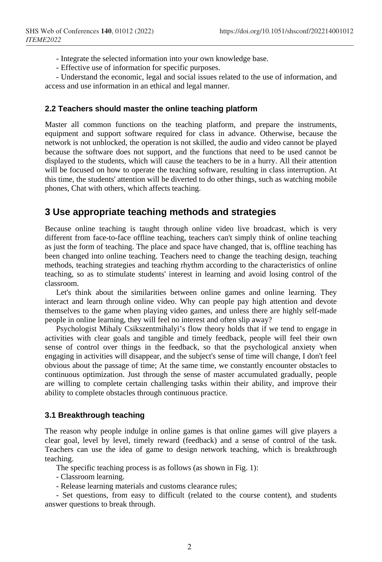- Integrate the selected information into your own knowledge base.

- Effective use of information for specific purposes.

- Understand the economic, legal and social issues related to the use of information, and access and use information in an ethical and legal manner.

### **2.2 Teachers should master the online teaching platform**

Master all common functions on the teaching platform, and prepare the instruments, equipment and support software required for class in advance. Otherwise, because the network is not unblocked, the operation is not skilled, the audio and video cannot be played because the software does not support, and the functions that need to be used cannot be displayed to the students, which will cause the teachers to be in a hurry. All their attention will be focused on how to operate the teaching software, resulting in class interruption. At this time, the students' attention will be diverted to do other things, such as watching mobile phones, Chat with others, which affects teaching.

## **3 Use appropriate teaching methods and strategies**

Because online teaching is taught through online video live broadcast, which is very different from face-to-face offline teaching, teachers can't simply think of online teaching as just the form of teaching. The place and space have changed, that is, offline teaching has been changed into online teaching. Teachers need to change the teaching design, teaching methods, teaching strategies and teaching rhythm according to the characteristics of online teaching, so as to stimulate students' interest in learning and avoid losing control of the classroom.

Let's think about the similarities between online games and online learning. They interact and learn through online video. Why can people pay high attention and devote themselves to the game when playing video games, and unless there are highly self-made people in online learning, they will feel no interest and often slip away?

Psychologist Mihaly Csikszentmihalyi's flow theory holds that if we tend to engage in activities with clear goals and tangible and timely feedback, people will feel their own sense of control over things in the feedback, so that the psychological anxiety when engaging in activities will disappear, and the subject's sense of time will change, I don't feel obvious about the passage of time; At the same time, we constantly encounter obstacles to continuous optimization. Just through the sense of master accumulated gradually, people are willing to complete certain challenging tasks within their ability, and improve their ability to complete obstacles through continuous practice.

### **3.1 Breakthrough teaching**

The reason why people indulge in online games is that online games will give players a clear goal, level by level, timely reward (feedback) and a sense of control of the task. Teachers can use the idea of game to design network teaching, which is breakthrough teaching.

The specific teaching process is as follows (as shown in Fig. 1):

- Classroom learning.

- Release learning materials and customs clearance rules;

- Set questions, from easy to difficult (related to the course content), and students answer questions to break through.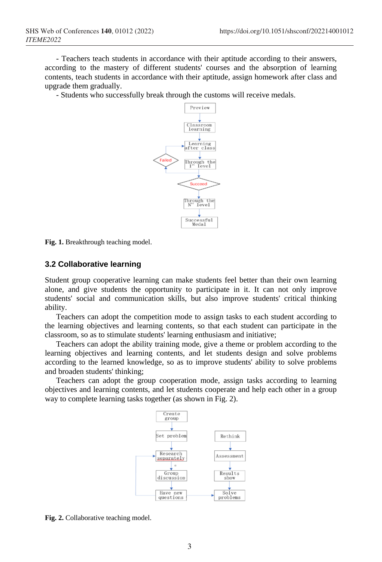- Teachers teach students in accordance with their aptitude according to their answers, according to the mastery of different students' courses and the absorption of learning contents, teach students in accordance with their aptitude, assign homework after class and upgrade them gradually.

- Students who successfully break through the customs will receive medals.



**Fig. 1.** Breakthrough teaching model.

#### **3.2 Collaborative learning**

Student group cooperative learning can make students feel better than their own learning alone, and give students the opportunity to participate in it. It can not only improve students' social and communication skills, but also improve students' critical thinking ability.

Teachers can adopt the competition mode to assign tasks to each student according to the learning objectives and learning contents, so that each student can participate in the classroom, so as to stimulate students' learning enthusiasm and initiative;

Teachers can adopt the ability training mode, give a theme or problem according to the learning objectives and learning contents, and let students design and solve problems according to the learned knowledge, so as to improve students' ability to solve problems and broaden students' thinking;

Teachers can adopt the group cooperation mode, assign tasks according to learning objectives and learning contents, and let students cooperate and help each other in a group way to complete learning tasks together (as shown in Fig. 2).



**Fig. 2.** Collaborative teaching model.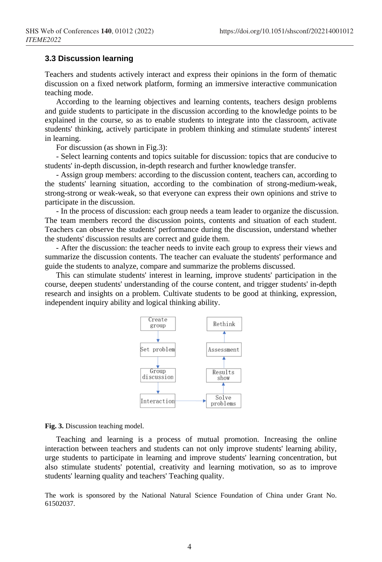#### **3.3 Discussion learning**

Teachers and students actively interact and express their opinions in the form of thematic discussion on a fixed network platform, forming an immersive interactive communication teaching mode.

According to the learning objectives and learning contents, teachers design problems and guide students to participate in the discussion according to the knowledge points to be explained in the course, so as to enable students to integrate into the classroom, activate students' thinking, actively participate in problem thinking and stimulate students' interest in learning.

For discussion (as shown in Fig.3):

- Select learning contents and topics suitable for discussion: topics that are conducive to students' in-depth discussion, in-depth research and further knowledge transfer.

- Assign group members: according to the discussion content, teachers can, according to the students' learning situation, according to the combination of strong-medium-weak, strong-strong or weak-weak, so that everyone can express their own opinions and strive to participate in the discussion.

- In the process of discussion: each group needs a team leader to organize the discussion. The team members record the discussion points, contents and situation of each student. Teachers can observe the students' performance during the discussion, understand whether the students' discussion results are correct and guide them.

- After the discussion: the teacher needs to invite each group to express their views and summarize the discussion contents. The teacher can evaluate the students' performance and guide the students to analyze, compare and summarize the problems discussed.

This can stimulate students' interest in learning, improve students' participation in the course, deepen students' understanding of the course content, and trigger students' in-depth research and insights on a problem. Cultivate students to be good at thinking, expression, independent inquiry ability and logical thinking ability.



**Fig. 3.** Discussion teaching model.

Teaching and learning is a process of mutual promotion. Increasing the online interaction between teachers and students can not only improve students' learning ability, urge students to participate in learning and improve students' learning concentration, but also stimulate students' potential, creativity and learning motivation, so as to improve students' learning quality and teachers' Teaching quality.

The work is sponsored by the National Natural Science Foundation of China under Grant No. 61502037.